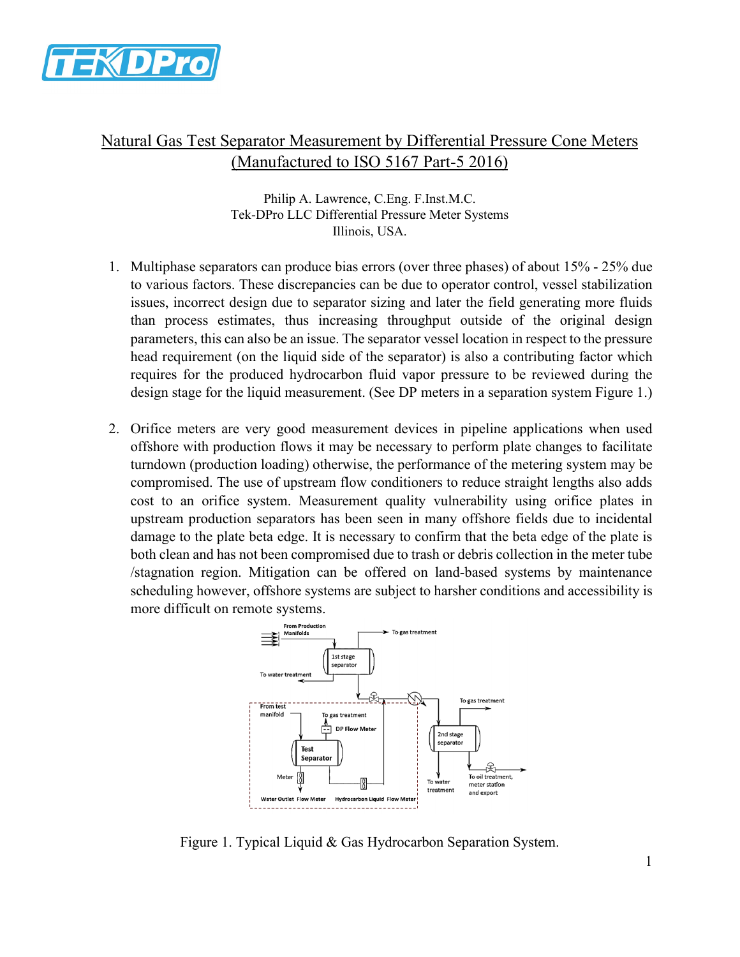

# Natural Gas Test Separator Measurement by Differential Pressure Cone Meters (Manufactured to ISO 5167 Part-5 2016)

Philip A. Lawrence, C.Eng. F.Inst.M.C. Tek-DPro LLC Differential Pressure Meter Systems Illinois, USA.

- 1. Multiphase separators can produce bias errors (over three phases) of about 15% 25% due to various factors. These discrepancies can be due to operator control, vessel stabilization issues, incorrect design due to separator sizing and later the field generating more fluids than process estimates, thus increasing throughput outside of the original design parameters, this can also be an issue. The separator vessel location in respect to the pressure head requirement (on the liquid side of the separator) is also a contributing factor which requires for the produced hydrocarbon fluid vapor pressure to be reviewed during the design stage for the liquid measurement. (See DP meters in a separation system Figure 1.)
- 2. Orifice meters are very good measurement devices in pipeline applications when used offshore with production flows it may be necessary to perform plate changes to facilitate turndown (production loading) otherwise, the performance of the metering system may be compromised. The use of upstream flow conditioners to reduce straight lengths also adds cost to an orifice system. Measurement quality vulnerability using orifice plates in upstream production separators has been seen in many offshore fields due to incidental damage to the plate beta edge. It is necessary to confirm that the beta edge of the plate is both clean and has not been compromised due to trash or debris collection in the meter tube /stagnation region. Mitigation can be offered on land-based systems by maintenance scheduling however, offshore systems are subject to harsher conditions and accessibility is more difficult on remote systems.



Figure 1. Typical Liquid & Gas Hydrocarbon Separation System.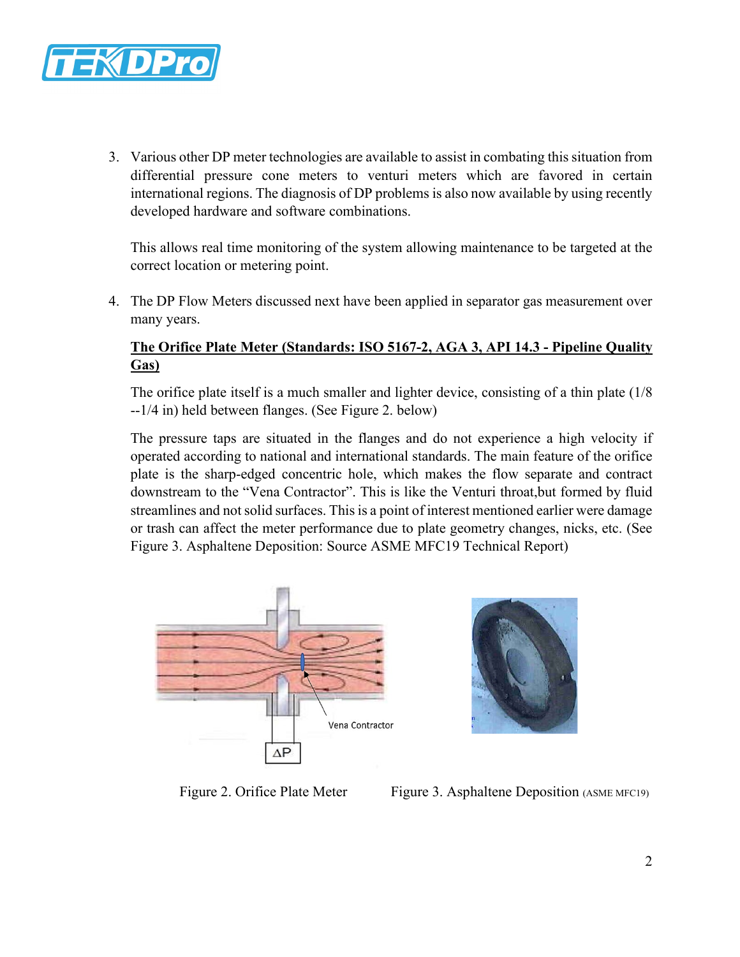

3. Various other DP meter technologies are available to assist in combating this situation from differential pressure cone meters to venturi meters which are favored in certain international regions. The diagnosis of DP problems is also now available by using recently developed hardware and software combinations.

This allows real time monitoring of the system allowing maintenance to be targeted at the correct location or metering point.

4. The DP Flow Meters discussed next have been applied in separator gas measurement over many years.

## **The Orifice Plate Meter (Standards: ISO 5167-2, AGA 3, API 14.3 - Pipeline Quality Gas)**

The orifice plate itself is a much smaller and lighter device, consisting of a thin plate (1/8 --1/4 in) held between flanges. (See Figure 2. below)

The pressure taps are situated in the flanges and do not experience a high velocity if operated according to national and international standards. The main feature of the orifice plate is the sharp-edged concentric hole, which makes the flow separate and contract downstream to the "Vena Contractor". This is like the Venturi throat,but formed by fluid streamlines and not solid surfaces. This is a point of interest mentioned earlier were damage or trash can affect the meter performance due to plate geometry changes, nicks, etc. (See Figure 3. Asphaltene Deposition: Source ASME MFC19 Technical Report)





Figure 2. Orifice Plate Meter Figure 3. Asphaltene Deposition (ASME MFC19)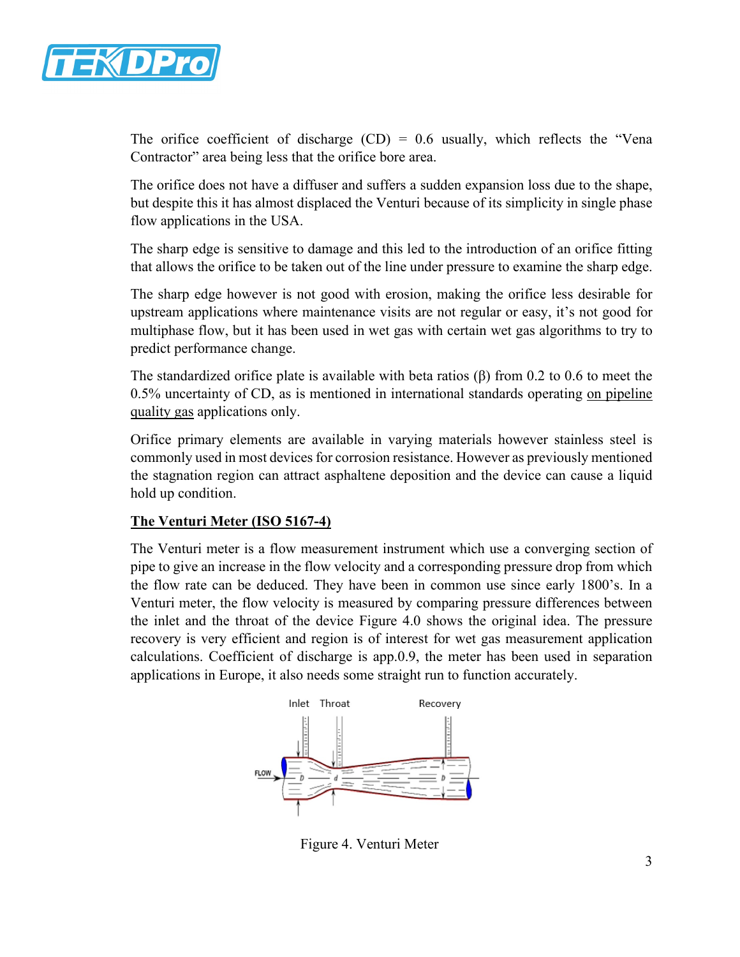

The orifice coefficient of discharge  $(CD) = 0.6$  usually, which reflects the "Vena Contractor" area being less that the orifice bore area.

The orifice does not have a diffuser and suffers a sudden expansion loss due to the shape, but despite this it has almost displaced the Venturi because of its simplicity in single phase flow applications in the USA.

The sharp edge is sensitive to damage and this led to the introduction of an orifice fitting that allows the orifice to be taken out of the line under pressure to examine the sharp edge.

The sharp edge however is not good with erosion, making the orifice less desirable for upstream applications where maintenance visits are not regular or easy, it's not good for multiphase flow, but it has been used in wet gas with certain wet gas algorithms to try to predict performance change.

The standardized orifice plate is available with beta ratios  $(\beta)$  from 0.2 to 0.6 to meet the 0.5% uncertainty of CD, as is mentioned in international standards operating on pipeline quality gas applications only.

Orifice primary elements are available in varying materials however stainless steel is commonly used in most devices for corrosion resistance. However as previously mentioned the stagnation region can attract asphaltene deposition and the device can cause a liquid hold up condition.

#### **The Venturi Meter (ISO 5167-4)**

The Venturi meter is a flow measurement instrument which use a converging section of pipe to give an increase in the flow velocity and a corresponding pressure drop from which the flow rate can be deduced. They have been in common use since early 1800's. In a Venturi meter, the flow velocity is measured by comparing pressure differences between the inlet and the throat of the device Figure 4.0 shows the original idea. The pressure recovery is very efficient and region is of interest for wet gas measurement application calculations. Coefficient of discharge is app.0.9, the meter has been used in separation applications in Europe, it also needs some straight run to function accurately.



Figure 4. Venturi Meter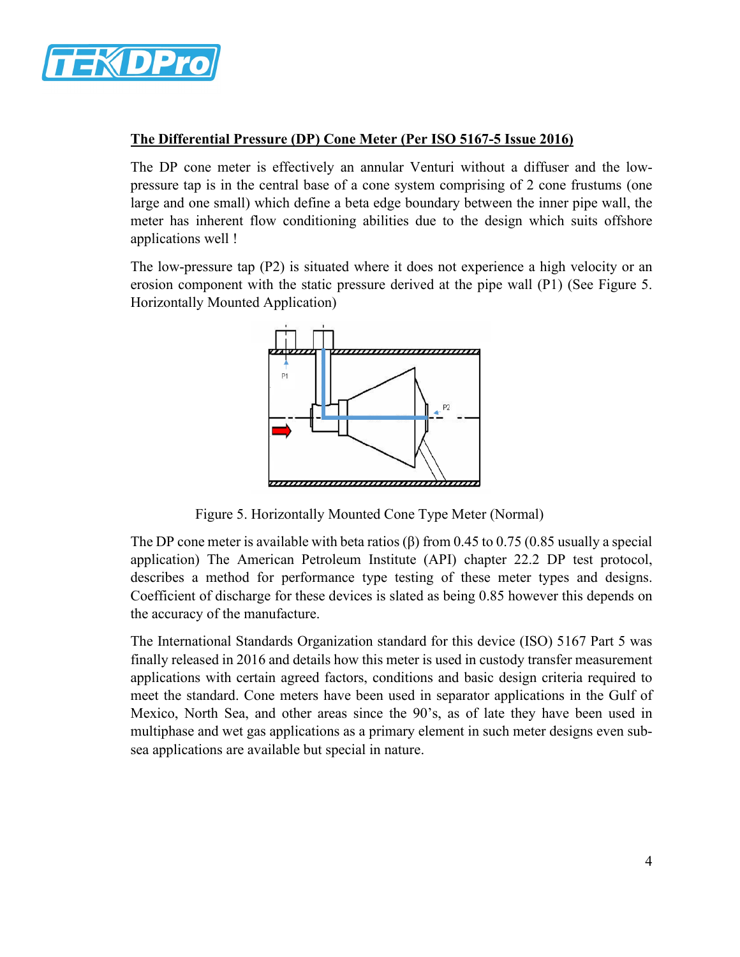

#### **The Differential Pressure (DP) Cone Meter (Per ISO 5167-5 Issue 2016)**

The DP cone meter is effectively an annular Venturi without a diffuser and the lowpressure tap is in the central base of a cone system comprising of 2 cone frustums (one large and one small) which define a beta edge boundary between the inner pipe wall, the meter has inherent flow conditioning abilities due to the design which suits offshore applications well !

The low-pressure tap (P2) is situated where it does not experience a high velocity or an erosion component with the static pressure derived at the pipe wall (P1) (See Figure 5. Horizontally Mounted Application)



Figure 5. Horizontally Mounted Cone Type Meter (Normal)

The DP cone meter is available with beta ratios ( $\beta$ ) from 0.45 to 0.75 (0.85 usually a special application) The American Petroleum Institute (API) chapter 22.2 DP test protocol, describes a method for performance type testing of these meter types and designs. Coefficient of discharge for these devices is slated as being 0.85 however this depends on the accuracy of the manufacture.

The International Standards Organization standard for this device (ISO) 5167 Part 5 was finally released in 2016 and details how this meter is used in custody transfer measurement applications with certain agreed factors, conditions and basic design criteria required to meet the standard. Cone meters have been used in separator applications in the Gulf of Mexico, North Sea, and other areas since the 90's, as of late they have been used in multiphase and wet gas applications as a primary element in such meter designs even subsea applications are available but special in nature.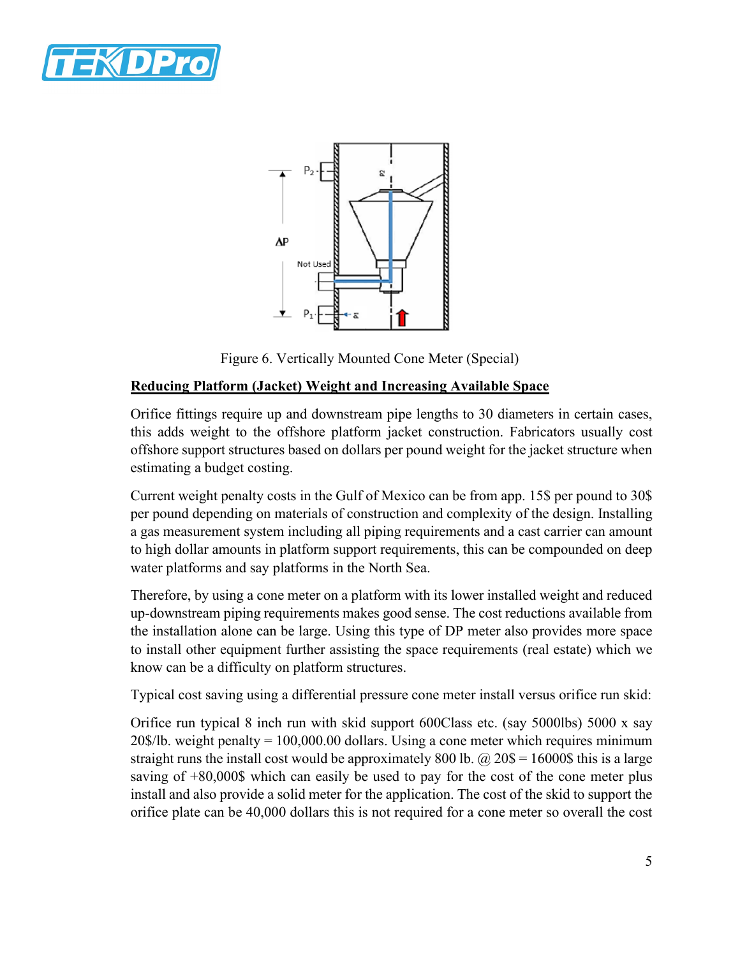



Figure 6. Vertically Mounted Cone Meter (Special)

#### **Reducing Platform (Jacket) Weight and Increasing Available Space**

Orifice fittings require up and downstream pipe lengths to 30 diameters in certain cases, this adds weight to the offshore platform jacket construction. Fabricators usually cost offshore support structures based on dollars per pound weight for the jacket structure when estimating a budget costing.

Current weight penalty costs in the Gulf of Mexico can be from app. 15\$ per pound to 30\$ per pound depending on materials of construction and complexity of the design. Installing a gas measurement system including all piping requirements and a cast carrier can amount to high dollar amounts in platform support requirements, this can be compounded on deep water platforms and say platforms in the North Sea.

Therefore, by using a cone meter on a platform with its lower installed weight and reduced up-downstream piping requirements makes good sense. The cost reductions available from the installation alone can be large. Using this type of DP meter also provides more space to install other equipment further assisting the space requirements (real estate) which we know can be a difficulty on platform structures.

Typical cost saving using a differential pressure cone meter install versus orifice run skid:

Orifice run typical 8 inch run with skid support 600Class etc. (say 5000lbs) 5000 x say 20\$/lb. weight penalty = 100,000.00 dollars. Using a cone meter which requires minimum straight runs the install cost would be approximately 800 lb.  $\omega$  20\$ = 16000\$ this is a large saving of  $+80,000$ \$ which can easily be used to pay for the cost of the cone meter plus install and also provide a solid meter for the application. The cost of the skid to support the orifice plate can be 40,000 dollars this is not required for a cone meter so overall the cost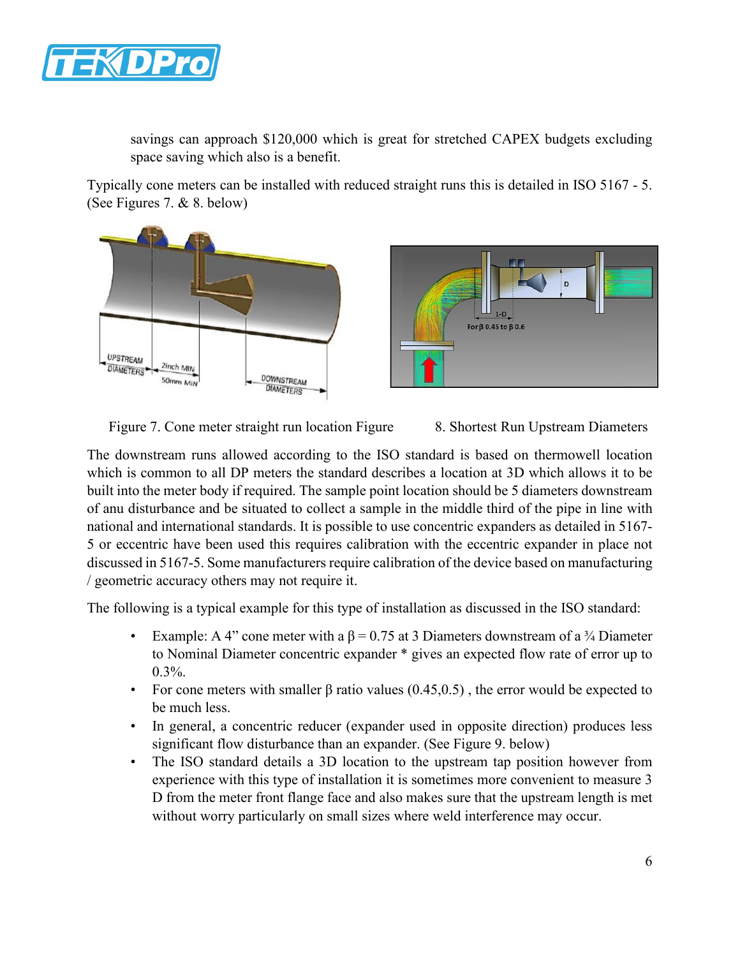

savings can approach \$120,000 which is great for stretched CAPEX budgets excluding space saving which also is a benefit.

Typically cone meters can be installed with reduced straight runs this is detailed in ISO 5167 - 5. (See Figures 7. & 8. below)



Figure 7. Cone meter straight run location Figure 8. Shortest Run Upstream Diameters

The downstream runs allowed according to the ISO standard is based on thermowell location which is common to all DP meters the standard describes a location at 3D which allows it to be built into the meter body if required. The sample point location should be 5 diameters downstream of anu disturbance and be situated to collect a sample in the middle third of the pipe in line with national and international standards. It is possible to use concentric expanders as detailed in 5167- 5 or eccentric have been used this requires calibration with the eccentric expander in place not discussed in 5167-5. Some manufacturers require calibration of the device based on manufacturing / geometric accuracy others may not require it.

The following is a typical example for this type of installation as discussed in the ISO standard:

- Example: A 4" cone meter with a  $\beta = 0.75$  at 3 Diameters downstream of a  $\frac{3}{4}$  Diameter to Nominal Diameter concentric expander \* gives an expected flow rate of error up to 0.3%.
- For cone meters with smaller  $\beta$  ratio values (0.45,0.5), the error would be expected to be much less.
- In general, a concentric reducer (expander used in opposite direction) produces less significant flow disturbance than an expander. (See Figure 9. below)
- The ISO standard details a 3D location to the upstream tap position however from experience with this type of installation it is sometimes more convenient to measure 3 D from the meter front flange face and also makes sure that the upstream length is met without worry particularly on small sizes where weld interference may occur.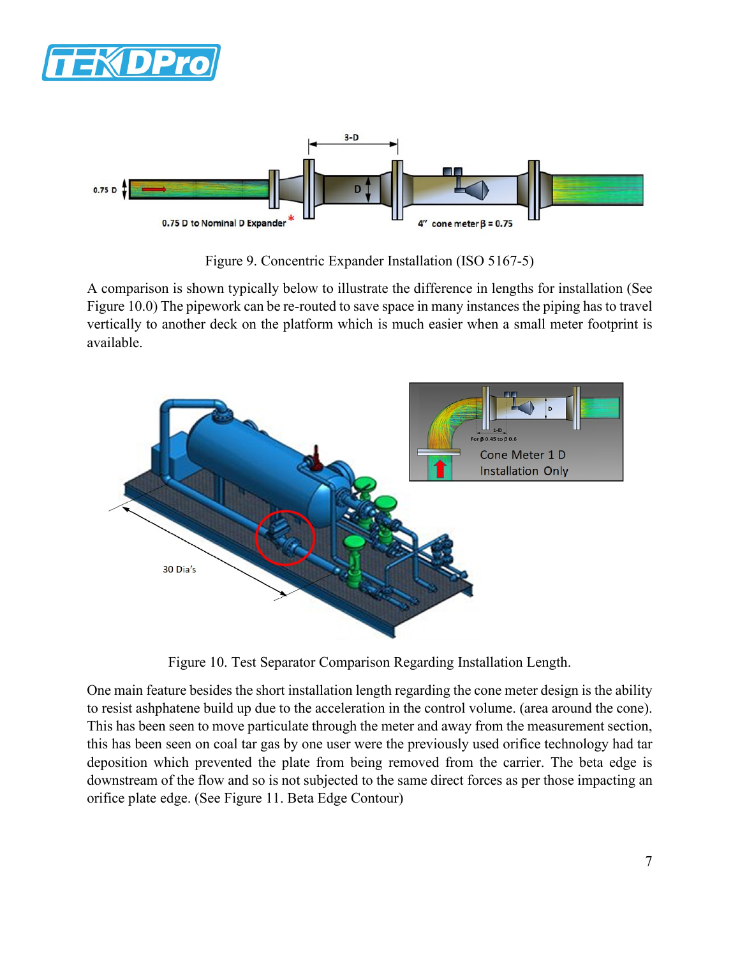



Figure 9. Concentric Expander Installation (ISO 5167-5)

A comparison is shown typically below to illustrate the difference in lengths for installation (See Figure 10.0) The pipework can be re-routed to save space in many instances the piping has to travel vertically to another deck on the platform which is much easier when a small meter footprint is available.



Figure 10. Test Separator Comparison Regarding Installation Length.

One main feature besides the short installation length regarding the cone meter design is the ability to resist ashphatene build up due to the acceleration in the control volume. (area around the cone). This has been seen to move particulate through the meter and away from the measurement section, this has been seen on coal tar gas by one user were the previously used orifice technology had tar deposition which prevented the plate from being removed from the carrier. The beta edge is downstream of the flow and so is not subjected to the same direct forces as per those impacting an orifice plate edge. (See Figure 11. Beta Edge Contour)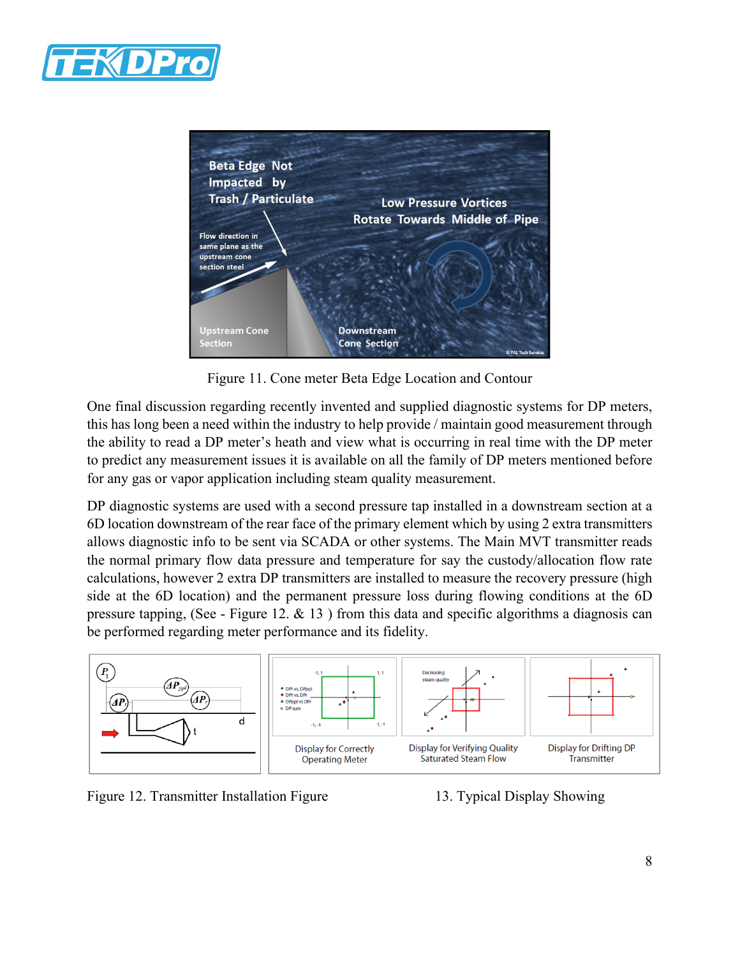



Figure 11. Cone meter Beta Edge Location and Contour

One final discussion regarding recently invented and supplied diagnostic systems for DP meters, this has long been a need within the industry to help provide / maintain good measurement through the ability to read a DP meter's heath and view what is occurring in real time with the DP meter to predict any measurement issues it is available on all the family of DP meters mentioned before for any gas or vapor application including steam quality measurement.

DP diagnostic systems are used with a second pressure tap installed in a downstream section at a 6D location downstream of the rear face of the primary element which by using 2 extra transmitters allows diagnostic info to be sent via SCADA or other systems. The Main MVT transmitter reads the normal primary flow data pressure and temperature for say the custody/allocation flow rate calculations, however 2 extra DP transmitters are installed to measure the recovery pressure (high side at the 6D location) and the permanent pressure loss during flowing conditions at the 6D pressure tapping, (See - Figure 12. & 13 ) from this data and specific algorithms a diagnosis can be performed regarding meter performance and its fidelity.



Figure 12. Transmitter Installation Figure 13. Typical Display Showing